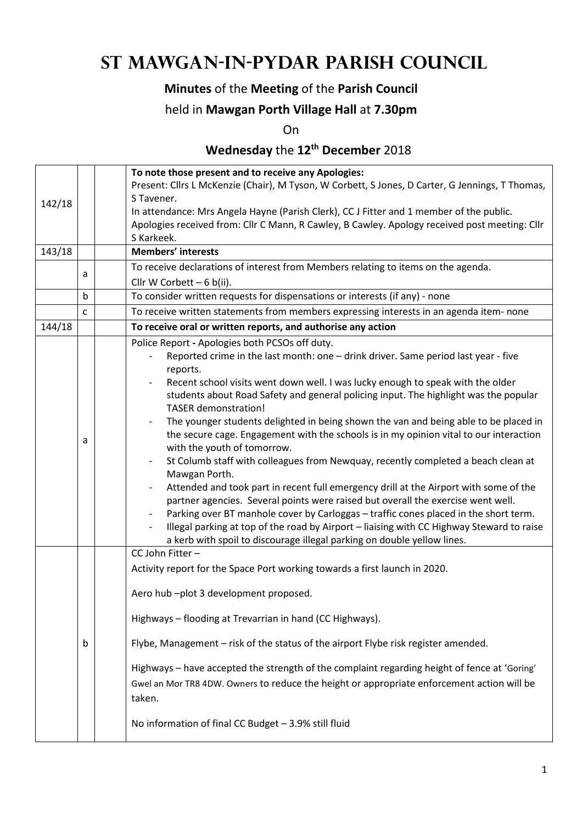# **St Mawgan-in-Pydar Parish Council**

### **Minutes** of the **Meeting** of the **Parish Council**

#### held in **Mawgan Porth Village Hall** at **7.30pm**

On

## **Wednesday** the **12th December** 2018

|        |   | To note those present and to receive any Apologies:                                                                                                                  |  |  |  |
|--------|---|----------------------------------------------------------------------------------------------------------------------------------------------------------------------|--|--|--|
|        |   | Present: Cllrs L McKenzie (Chair), M Tyson, W Corbett, S Jones, D Carter, G Jennings, T Thomas,                                                                      |  |  |  |
| 142/18 |   | S Tavener.                                                                                                                                                           |  |  |  |
|        |   | In attendance: Mrs Angela Hayne (Parish Clerk), CC J Fitter and 1 member of the public.                                                                              |  |  |  |
|        |   | Apologies received from: Cllr C Mann, R Cawley, B Cawley. Apology received post meeting: Cllr<br>S Karkeek.                                                          |  |  |  |
| 143/18 |   | <b>Members' interests</b>                                                                                                                                            |  |  |  |
|        |   | To receive declarations of interest from Members relating to items on the agenda.                                                                                    |  |  |  |
|        | a | Cllr W Corbett $-6$ b(ii).                                                                                                                                           |  |  |  |
|        | b | To consider written requests for dispensations or interests (if any) - none                                                                                          |  |  |  |
|        | C | To receive written statements from members expressing interests in an agenda item- none                                                                              |  |  |  |
| 144/18 |   | To receive oral or written reports, and authorise any action                                                                                                         |  |  |  |
|        |   | Police Report - Apologies both PCSOs off duty.                                                                                                                       |  |  |  |
|        |   | Reported crime in the last month: one - drink driver. Same period last year - five                                                                                   |  |  |  |
|        |   | reports.<br>Recent school visits went down well. I was lucky enough to speak with the older                                                                          |  |  |  |
|        |   | students about Road Safety and general policing input. The highlight was the popular                                                                                 |  |  |  |
|        |   | <b>TASER</b> demonstration!                                                                                                                                          |  |  |  |
|        |   | The younger students delighted in being shown the van and being able to be placed in                                                                                 |  |  |  |
|        | a | the secure cage. Engagement with the schools is in my opinion vital to our interaction                                                                               |  |  |  |
|        |   | with the youth of tomorrow.                                                                                                                                          |  |  |  |
|        |   | St Columb staff with colleagues from Newquay, recently completed a beach clean at                                                                                    |  |  |  |
|        |   | Mawgan Porth.                                                                                                                                                        |  |  |  |
|        |   | Attended and took part in recent full emergency drill at the Airport with some of the                                                                                |  |  |  |
|        |   | partner agencies. Several points were raised but overall the exercise went well.                                                                                     |  |  |  |
|        |   | Parking over BT manhole cover by Carloggas - traffic cones placed in the short term.                                                                                 |  |  |  |
|        |   | Illegal parking at top of the road by Airport - liaising with CC Highway Steward to raise<br>a kerb with spoil to discourage illegal parking on double yellow lines. |  |  |  |
|        |   | CC John Fitter-                                                                                                                                                      |  |  |  |
|        |   | Activity report for the Space Port working towards a first launch in 2020.                                                                                           |  |  |  |
|        |   |                                                                                                                                                                      |  |  |  |
|        |   | Aero hub-plot 3 development proposed.                                                                                                                                |  |  |  |
|        |   |                                                                                                                                                                      |  |  |  |
|        |   | Highways - flooding at Trevarrian in hand (CC Highways).                                                                                                             |  |  |  |
|        | b | Flybe, Management - risk of the status of the airport Flybe risk register amended.                                                                                   |  |  |  |
|        |   | Highways - have accepted the strength of the complaint regarding height of fence at 'Goring'                                                                         |  |  |  |
|        |   | Gwel an Mor TR8 4DW. Owners to reduce the height or appropriate enforcement action will be                                                                           |  |  |  |
|        |   | taken.                                                                                                                                                               |  |  |  |
|        |   |                                                                                                                                                                      |  |  |  |
|        |   | No information of final CC Budget - 3.9% still fluid                                                                                                                 |  |  |  |
|        |   |                                                                                                                                                                      |  |  |  |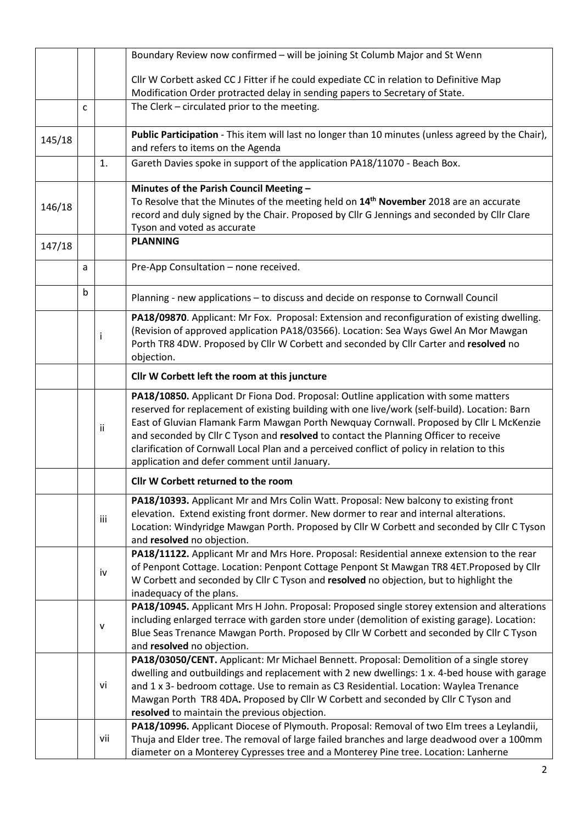|                                              |   |              | Boundary Review now confirmed - will be joining St Columb Major and St Wenn                                                                                                      |  |  |  |  |  |
|----------------------------------------------|---|--------------|----------------------------------------------------------------------------------------------------------------------------------------------------------------------------------|--|--|--|--|--|
|                                              |   |              |                                                                                                                                                                                  |  |  |  |  |  |
|                                              |   |              | Cllr W Corbett asked CC J Fitter if he could expediate CC in relation to Definitive Map<br>Modification Order protracted delay in sending papers to Secretary of State.          |  |  |  |  |  |
|                                              |   |              |                                                                                                                                                                                  |  |  |  |  |  |
|                                              | C |              | The Clerk - circulated prior to the meeting.                                                                                                                                     |  |  |  |  |  |
|                                              |   |              | Public Participation - This item will last no longer than 10 minutes (unless agreed by the Chair),                                                                               |  |  |  |  |  |
| 145/18                                       |   |              | and refers to items on the Agenda                                                                                                                                                |  |  |  |  |  |
|                                              |   | 1.           | Gareth Davies spoke in support of the application PA18/11070 - Beach Box.                                                                                                        |  |  |  |  |  |
|                                              |   |              | Minutes of the Parish Council Meeting -                                                                                                                                          |  |  |  |  |  |
| 146/18                                       |   |              | To Resolve that the Minutes of the meeting held on 14 <sup>th</sup> November 2018 are an accurate                                                                                |  |  |  |  |  |
|                                              |   |              | record and duly signed by the Chair. Proposed by Cllr G Jennings and seconded by Cllr Clare                                                                                      |  |  |  |  |  |
|                                              |   |              | Tyson and voted as accurate                                                                                                                                                      |  |  |  |  |  |
| 147/18                                       |   |              | <b>PLANNING</b>                                                                                                                                                                  |  |  |  |  |  |
|                                              | a |              | Pre-App Consultation - none received.                                                                                                                                            |  |  |  |  |  |
|                                              |   |              |                                                                                                                                                                                  |  |  |  |  |  |
|                                              | b |              | Planning - new applications - to discuss and decide on response to Cornwall Council                                                                                              |  |  |  |  |  |
|                                              |   |              | PA18/09870. Applicant: Mr Fox. Proposal: Extension and reconfiguration of existing dwelling.                                                                                     |  |  |  |  |  |
|                                              |   |              | (Revision of approved application PA18/03566). Location: Sea Ways Gwel An Mor Mawgan                                                                                             |  |  |  |  |  |
|                                              |   |              | Porth TR8 4DW. Proposed by Cllr W Corbett and seconded by Cllr Carter and resolved no                                                                                            |  |  |  |  |  |
|                                              |   |              | objection.                                                                                                                                                                       |  |  |  |  |  |
|                                              |   |              | Cllr W Corbett left the room at this juncture                                                                                                                                    |  |  |  |  |  |
|                                              |   |              | PA18/10850. Applicant Dr Fiona Dod. Proposal: Outline application with some matters                                                                                              |  |  |  |  |  |
|                                              |   |              | reserved for replacement of existing building with one live/work (self-build). Location: Barn                                                                                    |  |  |  |  |  |
|                                              |   | ii           | East of Gluvian Flamank Farm Mawgan Porth Newquay Cornwall. Proposed by Cllr L McKenzie                                                                                          |  |  |  |  |  |
|                                              |   |              | and seconded by Cllr C Tyson and resolved to contact the Planning Officer to receive                                                                                             |  |  |  |  |  |
|                                              |   |              | clarification of Cornwall Local Plan and a perceived conflict of policy in relation to this                                                                                      |  |  |  |  |  |
|                                              |   |              | application and defer comment until January.                                                                                                                                     |  |  |  |  |  |
|                                              |   |              | Cllr W Corbett returned to the room                                                                                                                                              |  |  |  |  |  |
|                                              |   |              | PA18/10393. Applicant Mr and Mrs Colin Watt. Proposal: New balcony to existing front                                                                                             |  |  |  |  |  |
|                                              |   | iii          | elevation. Extend existing front dormer. New dormer to rear and internal alterations.                                                                                            |  |  |  |  |  |
|                                              |   |              | Location: Windyridge Mawgan Porth. Proposed by Cllr W Corbett and seconded by Cllr C Tyson                                                                                       |  |  |  |  |  |
|                                              |   |              | and resolved no objection.                                                                                                                                                       |  |  |  |  |  |
|                                              |   |              | PA18/11122. Applicant Mr and Mrs Hore. Proposal: Residential annexe extension to the rear                                                                                        |  |  |  |  |  |
|                                              |   | iv           | of Penpont Cottage. Location: Penpont Cottage Penpont St Mawgan TR8 4ET. Proposed by Cllr                                                                                        |  |  |  |  |  |
|                                              |   |              | W Corbett and seconded by Cllr C Tyson and resolved no objection, but to highlight the                                                                                           |  |  |  |  |  |
|                                              |   |              | inadequacy of the plans.                                                                                                                                                         |  |  |  |  |  |
|                                              |   |              | PA18/10945. Applicant Mrs H John. Proposal: Proposed single storey extension and alterations                                                                                     |  |  |  |  |  |
|                                              |   | $\mathsf{v}$ | including enlarged terrace with garden store under (demolition of existing garage). Location:                                                                                    |  |  |  |  |  |
|                                              |   |              | Blue Seas Trenance Mawgan Porth. Proposed by Cllr W Corbett and seconded by Cllr C Tyson                                                                                         |  |  |  |  |  |
|                                              |   |              | and resolved no objection.                                                                                                                                                       |  |  |  |  |  |
|                                              |   |              | PA18/03050/CENT. Applicant: Mr Michael Bennett. Proposal: Demolition of a single storey                                                                                          |  |  |  |  |  |
|                                              |   |              | dwelling and outbuildings and replacement with 2 new dwellings: 1 x. 4-bed house with garage                                                                                     |  |  |  |  |  |
|                                              |   | vi           | and 1 x 3- bedroom cottage. Use to remain as C3 Residential. Location: Waylea Trenance                                                                                           |  |  |  |  |  |
|                                              |   |              | Mawgan Porth TR8 4DA. Proposed by Cllr W Corbett and seconded by Cllr C Tyson and                                                                                                |  |  |  |  |  |
| resolved to maintain the previous objection. |   |              |                                                                                                                                                                                  |  |  |  |  |  |
|                                              |   |              | PA18/10996. Applicant Diocese of Plymouth. Proposal: Removal of two Elm trees a Leylandii,                                                                                       |  |  |  |  |  |
|                                              |   | vii          | Thuja and Elder tree. The removal of large failed branches and large deadwood over a 100mm<br>diameter on a Monterey Cypresses tree and a Monterey Pine tree. Location: Lanherne |  |  |  |  |  |
|                                              |   |              |                                                                                                                                                                                  |  |  |  |  |  |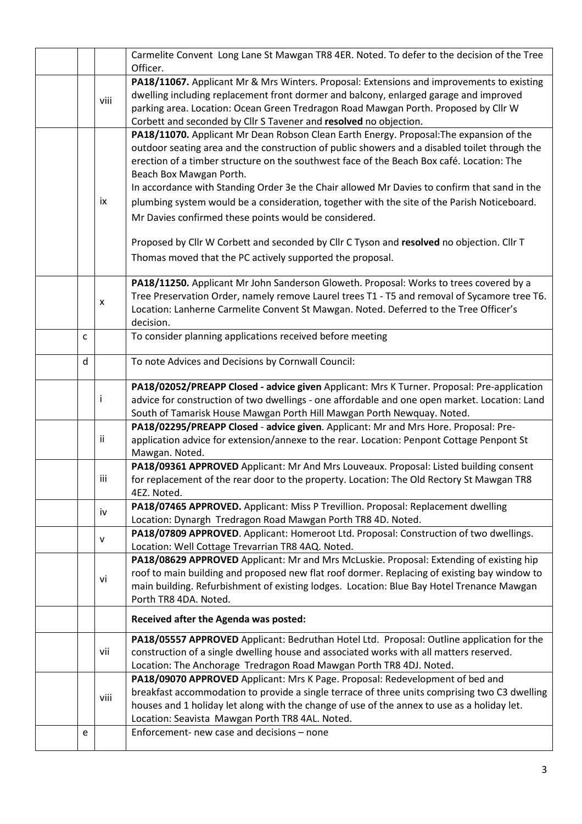|                                                                                                                                                                                                                                                                                                                                                        |   |      | Carmelite Convent Long Lane St Mawgan TR8 4ER. Noted. To defer to the decision of the Tree<br>Officer.                                                                                                                                                                                                                                                                                                                                                                                                                                                                                                                                                                                                                             |  |  |  |
|--------------------------------------------------------------------------------------------------------------------------------------------------------------------------------------------------------------------------------------------------------------------------------------------------------------------------------------------------------|---|------|------------------------------------------------------------------------------------------------------------------------------------------------------------------------------------------------------------------------------------------------------------------------------------------------------------------------------------------------------------------------------------------------------------------------------------------------------------------------------------------------------------------------------------------------------------------------------------------------------------------------------------------------------------------------------------------------------------------------------------|--|--|--|
| PA18/11067. Applicant Mr & Mrs Winters. Proposal: Extensions and improvements to existing<br>dwelling including replacement front dormer and balcony, enlarged garage and improved<br>viii<br>parking area. Location: Ocean Green Tredragon Road Mawgan Porth. Proposed by Cllr W<br>Corbett and seconded by Cllr S Tavener and resolved no objection. |   |      |                                                                                                                                                                                                                                                                                                                                                                                                                                                                                                                                                                                                                                                                                                                                    |  |  |  |
|                                                                                                                                                                                                                                                                                                                                                        |   | ix   | PA18/11070. Applicant Mr Dean Robson Clean Earth Energy. Proposal: The expansion of the<br>outdoor seating area and the construction of public showers and a disabled toilet through the<br>erection of a timber structure on the southwest face of the Beach Box café. Location: The<br>Beach Box Mawgan Porth.<br>In accordance with Standing Order 3e the Chair allowed Mr Davies to confirm that sand in the<br>plumbing system would be a consideration, together with the site of the Parish Noticeboard.<br>Mr Davies confirmed these points would be considered.<br>Proposed by Cllr W Corbett and seconded by Cllr C Tyson and resolved no objection. Cllr T<br>Thomas moved that the PC actively supported the proposal. |  |  |  |
|                                                                                                                                                                                                                                                                                                                                                        |   | X    | PA18/11250. Applicant Mr John Sanderson Gloweth. Proposal: Works to trees covered by a<br>Tree Preservation Order, namely remove Laurel trees T1 - T5 and removal of Sycamore tree T6.<br>Location: Lanherne Carmelite Convent St Mawgan. Noted. Deferred to the Tree Officer's<br>decision.                                                                                                                                                                                                                                                                                                                                                                                                                                       |  |  |  |
|                                                                                                                                                                                                                                                                                                                                                        | C |      | To consider planning applications received before meeting                                                                                                                                                                                                                                                                                                                                                                                                                                                                                                                                                                                                                                                                          |  |  |  |
|                                                                                                                                                                                                                                                                                                                                                        | d |      | To note Advices and Decisions by Cornwall Council:                                                                                                                                                                                                                                                                                                                                                                                                                                                                                                                                                                                                                                                                                 |  |  |  |
|                                                                                                                                                                                                                                                                                                                                                        |   | i    | PA18/02052/PREAPP Closed - advice given Applicant: Mrs K Turner. Proposal: Pre-application<br>advice for construction of two dwellings - one affordable and one open market. Location: Land<br>South of Tamarisk House Mawgan Porth Hill Mawgan Porth Newquay. Noted.                                                                                                                                                                                                                                                                                                                                                                                                                                                              |  |  |  |
|                                                                                                                                                                                                                                                                                                                                                        |   | Ϊİ   | PA18/02295/PREAPP Closed - advice given. Applicant: Mr and Mrs Hore. Proposal: Pre-<br>application advice for extension/annexe to the rear. Location: Penpont Cottage Penpont St<br>Mawgan. Noted.                                                                                                                                                                                                                                                                                                                                                                                                                                                                                                                                 |  |  |  |
|                                                                                                                                                                                                                                                                                                                                                        |   | iii  | PA18/09361 APPROVED Applicant: Mr And Mrs Louveaux. Proposal: Listed building consent<br>for replacement of the rear door to the property. Location: The Old Rectory St Mawgan TR8<br>4EZ. Noted.                                                                                                                                                                                                                                                                                                                                                                                                                                                                                                                                  |  |  |  |
|                                                                                                                                                                                                                                                                                                                                                        |   | iv   | PA18/07465 APPROVED. Applicant: Miss P Trevillion. Proposal: Replacement dwelling<br>Location: Dynargh Tredragon Road Mawgan Porth TR8 4D. Noted.                                                                                                                                                                                                                                                                                                                                                                                                                                                                                                                                                                                  |  |  |  |
|                                                                                                                                                                                                                                                                                                                                                        |   | v    | PA18/07809 APPROVED. Applicant: Homeroot Ltd. Proposal: Construction of two dwellings.<br>Location: Well Cottage Trevarrian TR8 4AQ. Noted.                                                                                                                                                                                                                                                                                                                                                                                                                                                                                                                                                                                        |  |  |  |
|                                                                                                                                                                                                                                                                                                                                                        |   | vi   | PA18/08629 APPROVED Applicant: Mr and Mrs McLuskie. Proposal: Extending of existing hip<br>roof to main building and proposed new flat roof dormer. Replacing of existing bay window to<br>main building. Refurbishment of existing lodges. Location: Blue Bay Hotel Trenance Mawgan<br>Porth TR8 4DA. Noted.                                                                                                                                                                                                                                                                                                                                                                                                                      |  |  |  |
|                                                                                                                                                                                                                                                                                                                                                        |   |      | Received after the Agenda was posted:                                                                                                                                                                                                                                                                                                                                                                                                                                                                                                                                                                                                                                                                                              |  |  |  |
|                                                                                                                                                                                                                                                                                                                                                        |   | vii  | PA18/05557 APPROVED Applicant: Bedruthan Hotel Ltd. Proposal: Outline application for the<br>construction of a single dwelling house and associated works with all matters reserved.<br>Location: The Anchorage Tredragon Road Mawgan Porth TR8 4DJ. Noted.                                                                                                                                                                                                                                                                                                                                                                                                                                                                        |  |  |  |
|                                                                                                                                                                                                                                                                                                                                                        |   | viii | PA18/09070 APPROVED Applicant: Mrs K Page. Proposal: Redevelopment of bed and<br>breakfast accommodation to provide a single terrace of three units comprising two C3 dwelling<br>houses and 1 holiday let along with the change of use of the annex to use as a holiday let.<br>Location: Seavista Mawgan Porth TR8 4AL. Noted.                                                                                                                                                                                                                                                                                                                                                                                                   |  |  |  |
|                                                                                                                                                                                                                                                                                                                                                        | e |      | Enforcement- new case and decisions - none                                                                                                                                                                                                                                                                                                                                                                                                                                                                                                                                                                                                                                                                                         |  |  |  |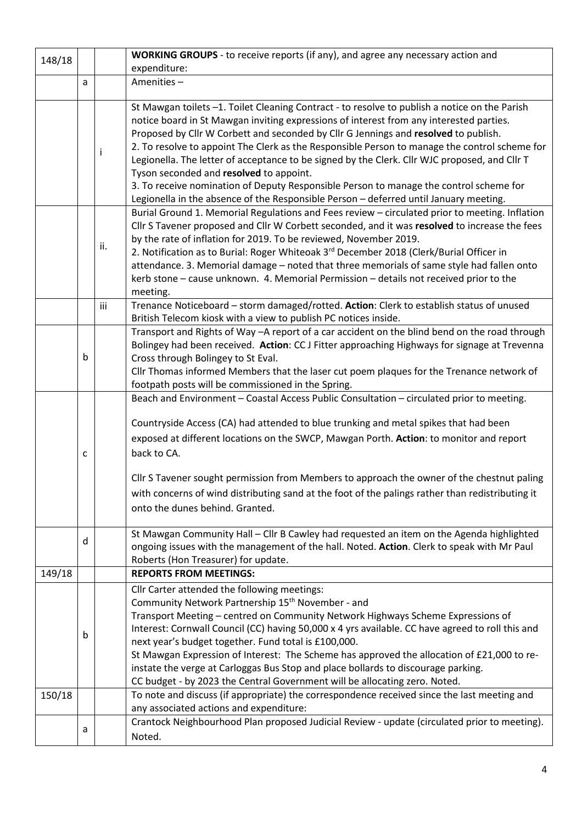| 148/18 |   |     | WORKING GROUPS - to receive reports (if any), and agree any necessary action and                                                                                                                                                                                                                                                                                                                                                                                                                                                                                                                                                                                                                                |  |  |  |  |
|--------|---|-----|-----------------------------------------------------------------------------------------------------------------------------------------------------------------------------------------------------------------------------------------------------------------------------------------------------------------------------------------------------------------------------------------------------------------------------------------------------------------------------------------------------------------------------------------------------------------------------------------------------------------------------------------------------------------------------------------------------------------|--|--|--|--|
|        |   |     | expenditure:                                                                                                                                                                                                                                                                                                                                                                                                                                                                                                                                                                                                                                                                                                    |  |  |  |  |
|        | a |     | Amenities-                                                                                                                                                                                                                                                                                                                                                                                                                                                                                                                                                                                                                                                                                                      |  |  |  |  |
|        |   | ı   | St Mawgan toilets -1. Toilet Cleaning Contract - to resolve to publish a notice on the Parish<br>notice board in St Mawgan inviting expressions of interest from any interested parties.<br>Proposed by Cllr W Corbett and seconded by Cllr G Jennings and resolved to publish.<br>2. To resolve to appoint The Clerk as the Responsible Person to manage the control scheme for<br>Legionella. The letter of acceptance to be signed by the Clerk. Cllr WJC proposed, and Cllr T<br>Tyson seconded and resolved to appoint.<br>3. To receive nomination of Deputy Responsible Person to manage the control scheme for<br>Legionella in the absence of the Responsible Person - deferred until January meeting. |  |  |  |  |
|        |   | ii. | Burial Ground 1. Memorial Regulations and Fees review - circulated prior to meeting. Inflation<br>Cllr S Tavener proposed and Cllr W Corbett seconded, and it was resolved to increase the fees<br>by the rate of inflation for 2019. To be reviewed, November 2019.<br>2. Notification as to Burial: Roger Whiteoak 3 <sup>rd</sup> December 2018 (Clerk/Burial Officer in<br>attendance. 3. Memorial damage - noted that three memorials of same style had fallen onto<br>kerb stone - cause unknown. 4. Memorial Permission - details not received prior to the<br>meeting.                                                                                                                                  |  |  |  |  |
|        |   | iii | Trenance Noticeboard - storm damaged/rotted. Action: Clerk to establish status of unused<br>British Telecom kiosk with a view to publish PC notices inside.                                                                                                                                                                                                                                                                                                                                                                                                                                                                                                                                                     |  |  |  |  |
|        | b |     | Transport and Rights of Way -A report of a car accident on the blind bend on the road through<br>Bolingey had been received. Action: CC J Fitter approaching Highways for signage at Trevenna<br>Cross through Bolingey to St Eval.<br>Cllr Thomas informed Members that the laser cut poem plaques for the Trenance network of<br>footpath posts will be commissioned in the Spring.                                                                                                                                                                                                                                                                                                                           |  |  |  |  |
|        |   |     | Beach and Environment - Coastal Access Public Consultation - circulated prior to meeting.                                                                                                                                                                                                                                                                                                                                                                                                                                                                                                                                                                                                                       |  |  |  |  |
|        | c |     | Countryside Access (CA) had attended to blue trunking and metal spikes that had been<br>exposed at different locations on the SWCP, Mawgan Porth. Action: to monitor and report<br>back to CA.<br>Cllr S Tavener sought permission from Members to approach the owner of the chestnut paling<br>with concerns of wind distributing sand at the foot of the palings rather than redistributing it<br>onto the dunes behind. Granted.                                                                                                                                                                                                                                                                             |  |  |  |  |
|        | d |     | St Mawgan Community Hall - Cllr B Cawley had requested an item on the Agenda highlighted<br>ongoing issues with the management of the hall. Noted. Action. Clerk to speak with Mr Paul                                                                                                                                                                                                                                                                                                                                                                                                                                                                                                                          |  |  |  |  |
|        |   |     | Roberts (Hon Treasurer) for update.                                                                                                                                                                                                                                                                                                                                                                                                                                                                                                                                                                                                                                                                             |  |  |  |  |
| 149/18 |   |     | <b>REPORTS FROM MEETINGS:</b>                                                                                                                                                                                                                                                                                                                                                                                                                                                                                                                                                                                                                                                                                   |  |  |  |  |
|        | b |     | Cllr Carter attended the following meetings:<br>Community Network Partnership 15 <sup>th</sup> November - and<br>Transport Meeting - centred on Community Network Highways Scheme Expressions of<br>Interest: Cornwall Council (CC) having 50,000 x 4 yrs available. CC have agreed to roll this and<br>next year's budget together. Fund total is £100,000.<br>St Mawgan Expression of Interest: The Scheme has approved the allocation of £21,000 to re-<br>instate the verge at Carloggas Bus Stop and place bollards to discourage parking.<br>CC budget - by 2023 the Central Government will be allocating zero. Noted.                                                                                   |  |  |  |  |
| 150/18 |   |     | To note and discuss (if appropriate) the correspondence received since the last meeting and                                                                                                                                                                                                                                                                                                                                                                                                                                                                                                                                                                                                                     |  |  |  |  |
|        |   |     | any associated actions and expenditure:                                                                                                                                                                                                                                                                                                                                                                                                                                                                                                                                                                                                                                                                         |  |  |  |  |
|        | a |     | Crantock Neighbourhood Plan proposed Judicial Review - update (circulated prior to meeting).<br>Noted.                                                                                                                                                                                                                                                                                                                                                                                                                                                                                                                                                                                                          |  |  |  |  |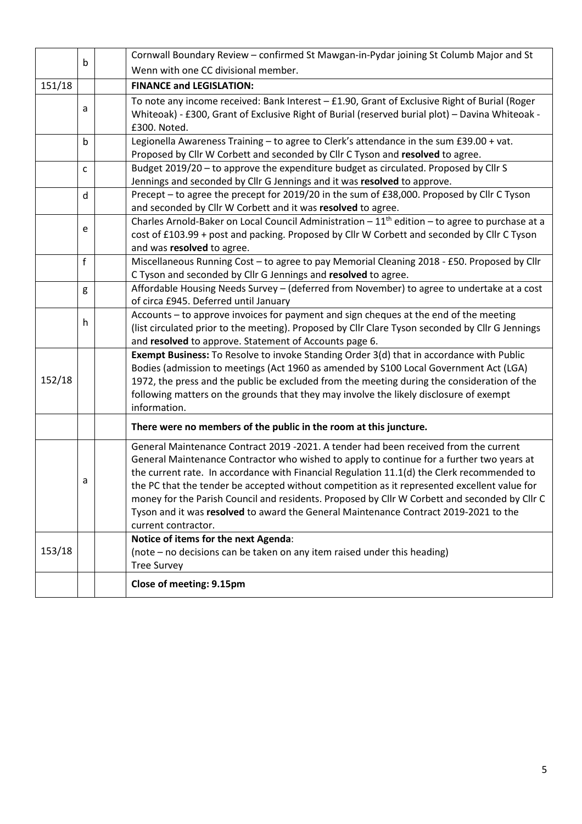|        |                                                              |  | Cornwall Boundary Review - confirmed St Mawgan-in-Pydar joining St Columb Major and St                                                                                                |  |  |  |  |  |
|--------|--------------------------------------------------------------|--|---------------------------------------------------------------------------------------------------------------------------------------------------------------------------------------|--|--|--|--|--|
|        | b                                                            |  | Wenn with one CC divisional member.                                                                                                                                                   |  |  |  |  |  |
| 151/18 |                                                              |  | <b>FINANCE and LEGISLATION:</b>                                                                                                                                                       |  |  |  |  |  |
|        |                                                              |  | To note any income received: Bank Interest - £1.90, Grant of Exclusive Right of Burial (Roger                                                                                         |  |  |  |  |  |
|        | a                                                            |  | Whiteoak) - £300, Grant of Exclusive Right of Burial (reserved burial plot) - Davina Whiteoak -                                                                                       |  |  |  |  |  |
|        |                                                              |  | £300. Noted.                                                                                                                                                                          |  |  |  |  |  |
|        | b                                                            |  | Legionella Awareness Training - to agree to Clerk's attendance in the sum £39.00 + vat.                                                                                               |  |  |  |  |  |
|        |                                                              |  | Proposed by Cllr W Corbett and seconded by Cllr C Tyson and resolved to agree.                                                                                                        |  |  |  |  |  |
|        | C                                                            |  | Budget 2019/20 - to approve the expenditure budget as circulated. Proposed by Cllr S                                                                                                  |  |  |  |  |  |
|        |                                                              |  | Jennings and seconded by Cllr G Jennings and it was resolved to approve.                                                                                                              |  |  |  |  |  |
|        | d                                                            |  | Precept - to agree the precept for 2019/20 in the sum of £38,000. Proposed by Cllr C Tyson                                                                                            |  |  |  |  |  |
|        | and seconded by Cllr W Corbett and it was resolved to agree. |  |                                                                                                                                                                                       |  |  |  |  |  |
|        | e                                                            |  | Charles Arnold-Baker on Local Council Administration $-11th$ edition - to agree to purchase at a                                                                                      |  |  |  |  |  |
|        |                                                              |  | cost of £103.99 + post and packing. Proposed by Cllr W Corbett and seconded by Cllr C Tyson                                                                                           |  |  |  |  |  |
|        |                                                              |  | and was resolved to agree.                                                                                                                                                            |  |  |  |  |  |
| f      |                                                              |  | Miscellaneous Running Cost - to agree to pay Memorial Cleaning 2018 - £50. Proposed by Cllr                                                                                           |  |  |  |  |  |
|        |                                                              |  | C Tyson and seconded by Cllr G Jennings and resolved to agree.                                                                                                                        |  |  |  |  |  |
|        | g                                                            |  | Affordable Housing Needs Survey - (deferred from November) to agree to undertake at a cost                                                                                            |  |  |  |  |  |
|        | of circa £945. Deferred until January                        |  |                                                                                                                                                                                       |  |  |  |  |  |
|        | h                                                            |  | Accounts - to approve invoices for payment and sign cheques at the end of the meeting                                                                                                 |  |  |  |  |  |
|        |                                                              |  | (list circulated prior to the meeting). Proposed by Cllr Clare Tyson seconded by Cllr G Jennings                                                                                      |  |  |  |  |  |
|        |                                                              |  | and resolved to approve. Statement of Accounts page 6.                                                                                                                                |  |  |  |  |  |
|        |                                                              |  | Exempt Business: To Resolve to invoke Standing Order 3(d) that in accordance with Public                                                                                              |  |  |  |  |  |
| 152/18 |                                                              |  | Bodies (admission to meetings (Act 1960 as amended by S100 Local Government Act (LGA)                                                                                                 |  |  |  |  |  |
|        |                                                              |  | 1972, the press and the public be excluded from the meeting during the consideration of the<br>following matters on the grounds that they may involve the likely disclosure of exempt |  |  |  |  |  |
|        |                                                              |  | information.                                                                                                                                                                          |  |  |  |  |  |
|        |                                                              |  |                                                                                                                                                                                       |  |  |  |  |  |
|        |                                                              |  | There were no members of the public in the room at this juncture.                                                                                                                     |  |  |  |  |  |
|        |                                                              |  | General Maintenance Contract 2019 -2021. A tender had been received from the current                                                                                                  |  |  |  |  |  |
|        |                                                              |  | General Maintenance Contractor who wished to apply to continue for a further two years at                                                                                             |  |  |  |  |  |
|        |                                                              |  | the current rate. In accordance with Financial Regulation 11.1(d) the Clerk recommended to                                                                                            |  |  |  |  |  |
|        | а                                                            |  | the PC that the tender be accepted without competition as it represented excellent value for                                                                                          |  |  |  |  |  |
|        |                                                              |  | money for the Parish Council and residents. Proposed by Cllr W Corbett and seconded by Cllr C                                                                                         |  |  |  |  |  |
|        |                                                              |  | Tyson and it was resolved to award the General Maintenance Contract 2019-2021 to the                                                                                                  |  |  |  |  |  |
|        |                                                              |  | current contractor.                                                                                                                                                                   |  |  |  |  |  |
|        |                                                              |  | Notice of items for the next Agenda:                                                                                                                                                  |  |  |  |  |  |
| 153/18 |                                                              |  | (note – no decisions can be taken on any item raised under this heading)                                                                                                              |  |  |  |  |  |
|        |                                                              |  | <b>Tree Survey</b>                                                                                                                                                                    |  |  |  |  |  |
|        |                                                              |  | Close of meeting: 9.15pm                                                                                                                                                              |  |  |  |  |  |
|        |                                                              |  |                                                                                                                                                                                       |  |  |  |  |  |